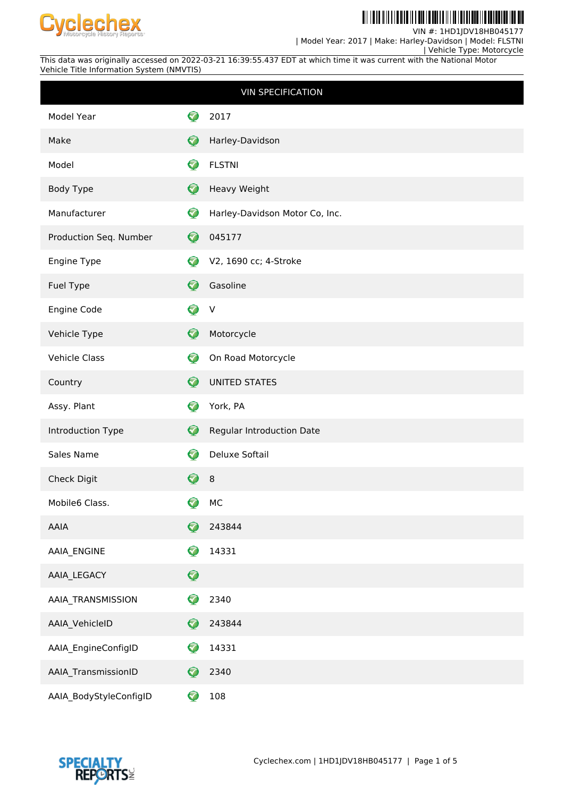

<u> Ail inn an Linning a lead in tha an Linning ann an Lin</u> H VIN #: 1HD1JDV18HB045177

| Model Year: 2017 | Make: Harley-Davidson | Model: FLSTNI

 | Vehicle Type: Motorcycle This data was originally accessed on 2022-03-21 16:39:55.437 EDT at which time it was current with the National Motor Vehicle Title Information System (NMVTIS)

|                        |                | <b>VIN SPECIFICATION</b>       |
|------------------------|----------------|--------------------------------|
| Model Year             | ✓              | 2017                           |
| Make                   | Ø              | Harley-Davidson                |
| Model                  | Ø              | <b>FLSTNI</b>                  |
| <b>Body Type</b>       | $\bullet$      | Heavy Weight                   |
| Manufacturer           | ♡              | Harley-Davidson Motor Co, Inc. |
| Production Seq. Number | Ø              | 045177                         |
| Engine Type            | €              | V2, 1690 cc; 4-Stroke          |
| Fuel Type              | Ø              | Gasoline                       |
| Engine Code            | <mark>◆</mark> | $\sf V$                        |
| Vehicle Type           | Ø              | Motorcycle                     |
| <b>Vehicle Class</b>   | ♡              | On Road Motorcycle             |
| Country                | Ø              | <b>UNITED STATES</b>           |
| Assy. Plant            | ♡              | York, PA                       |
| Introduction Type      | Ø              | Regular Introduction Date      |
| Sales Name             | Ø              | Deluxe Softail                 |
| Check Digit            | ❤              | 8                              |
| Mobile6 Class.         | 3              | MC                             |
| AAIA                   | Q              | 243844                         |
| AAIA_ENGINE            | 0              | 14331                          |
| AAIA_LEGACY            | $\mathbf Q$    |                                |
| AAIA_TRANSMISSION      | 7              | 2340                           |
| AAIA_VehicleID         | Ø              | 243844                         |
| AAIA_EngineConfigID    | Ø              | 14331                          |
| AAIA_TransmissionID    | Ø              | 2340                           |
| AAIA_BodyStyleConfigID | ❤              | 108                            |

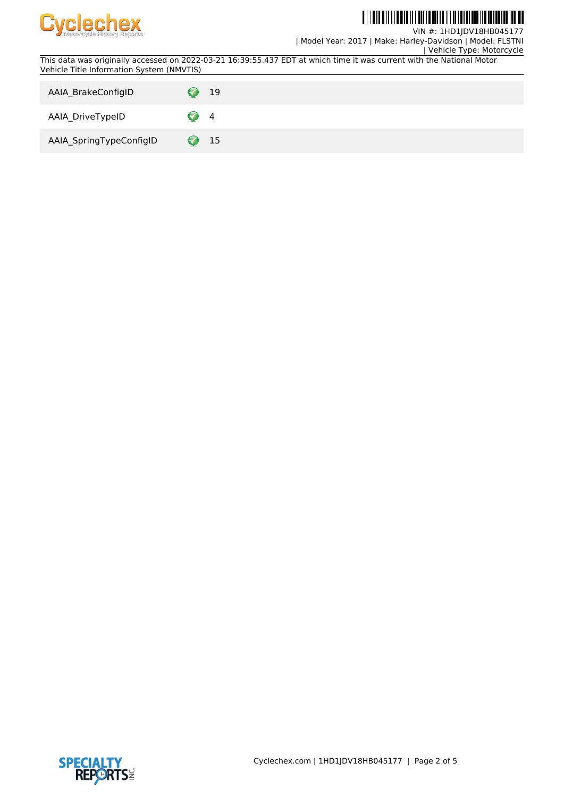

# 

VIN #: 1HD1JDV18HB045177

 | Model Year: 2017 | Make: Harley-Davidson | Model: FLSTNI | Vehicle Type: Motorcycle

This data was originally accessed on 2022-03-21 16:39:55.437 EDT at which time it was current with the National Motor Vehicle Title Information System (NMVTIS)

| AAIA BrakeConfigID      | 19              |  |
|-------------------------|-----------------|--|
| AAIA_DriveTypeID        | 4               |  |
| AAIA_SpringTypeConfigID | 15<br>$\bullet$ |  |

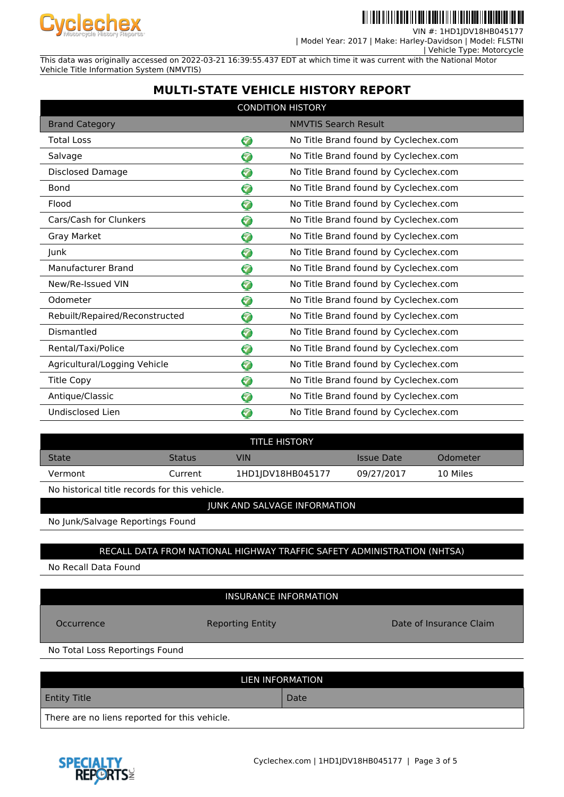

VIN #: 1HD1JDV18HB045177

| Model Year: 2017 | Make: Harley-Davidson | Model: FLSTNI

 | Vehicle Type: Motorcycle This data was originally accessed on 2022-03-21 16:39:55.437 EDT at which time it was current with the National Motor

Vehicle Title Information System (NMVTIS)

### **MULTI-STATE VEHICLE HISTORY REPORT**

| <b>CONDITION HISTORY</b>       |                |                                       |  |
|--------------------------------|----------------|---------------------------------------|--|
| <b>Brand Category</b>          |                | <b>NMVTIS Search Result</b>           |  |
| <b>Total Loss</b>              | $\bullet$      | No Title Brand found by Cyclechex.com |  |
| Salvage                        | <mark>√</mark> | No Title Brand found by Cyclechex.com |  |
| <b>Disclosed Damage</b>        | <mark>√</mark> | No Title Brand found by Cyclechex.com |  |
| Bond                           | 3              | No Title Brand found by Cyclechex.com |  |
| Flood                          | 0              | No Title Brand found by Cyclechex.com |  |
| Cars/Cash for Clunkers         | ❤              | No Title Brand found by Cyclechex.com |  |
| Gray Market                    | ଚ              | No Title Brand found by Cyclechex.com |  |
| Junk                           | ❤              | No Title Brand found by Cyclechex.com |  |
| Manufacturer Brand             | ❤              | No Title Brand found by Cyclechex.com |  |
| New/Re-Issued VIN              | 7              | No Title Brand found by Cyclechex.com |  |
| Odometer                       | 7              | No Title Brand found by Cyclechex.com |  |
| Rebuilt/Repaired/Reconstructed | 0              | No Title Brand found by Cyclechex.com |  |
| Dismantled                     | ଚ              | No Title Brand found by Cyclechex.com |  |
| Rental/Taxi/Police             | ❤              | No Title Brand found by Cyclechex.com |  |
| Agricultural/Logging Vehicle   | ଚ              | No Title Brand found by Cyclechex.com |  |
| <b>Title Copy</b>              | 0              | No Title Brand found by Cyclechex.com |  |
| Antique/Classic                | Ø              | No Title Brand found by Cyclechex.com |  |
| Undisclosed Lien               | V              | No Title Brand found by Cyclechex.com |  |

| <b>TITLE HISTORY</b> |               |                   |            |          |  |
|----------------------|---------------|-------------------|------------|----------|--|
| <b>State</b>         | <b>Status</b> | VIN               | Issue Date | Odometer |  |
| Vermont              | Current       | 1HD1JDV18HB045177 | 09/27/2017 | 10 Miles |  |
| .                    | .             |                   |            |          |  |

No historical title records for this vehicle.

#### JUNK AND SALVAGE INFORMATION

No Junk/Salvage Reportings Found

#### RECALL DATA FROM NATIONAL HIGHWAY TRAFFIC SAFETY ADMINISTRATION (NHTSA)

No Recall Data Found

### INSURANCE INFORMATION

Occurrence **Reporting Entity Reporting Entity Date of Insurance Claim** 

No Total Loss Reportings Found

| LIEN INFORMATION                              |      |  |  |
|-----------------------------------------------|------|--|--|
| <b>Entity Title</b>                           | Date |  |  |
| There are no liens reported for this vehicle. |      |  |  |

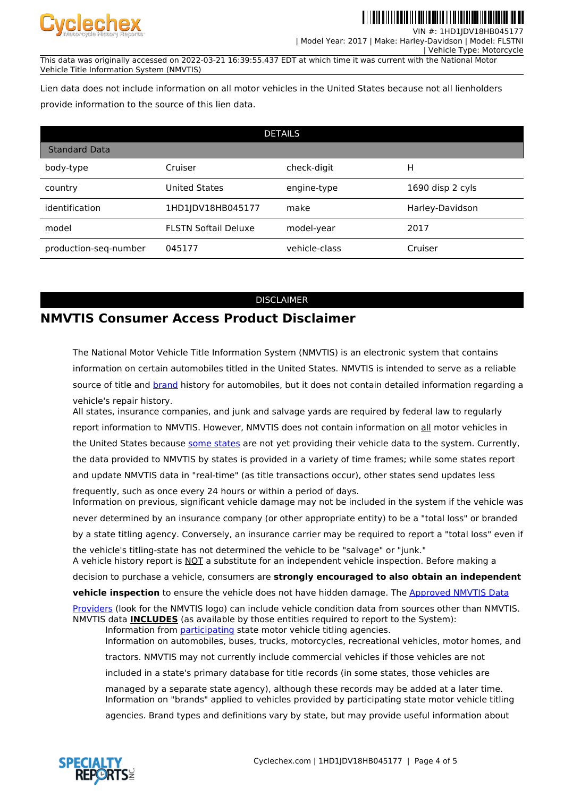

VIN #: 1HD1JDV18HB045177

| Model Year: 2017 | Make: Harley-Davidson | Model: FLSTNI

 | Vehicle Type: Motorcycle This data was originally accessed on 2022-03-21 16:39:55.437 EDT at which time it was current with the National Motor Vehicle Title Information System (NMVTIS)

Lien data does not include information on all motor vehicles in the United States because not all lienholders provide information to the source of this lien data.

| <b>DETAILS</b>        |                             |               |                  |  |
|-----------------------|-----------------------------|---------------|------------------|--|
| <b>Standard Data</b>  |                             |               |                  |  |
| body-type             | Cruiser                     | check-digit   | Н                |  |
| country               | <b>United States</b>        | engine-type   | 1690 disp 2 cyls |  |
| identification        | 1HD1JDV18HB045177           | make          | Harley-Davidson  |  |
| model                 | <b>FLSTN Softail Deluxe</b> | model-year    | 2017             |  |
| production-seq-number | 045177                      | vehicle-class | Cruiser          |  |

#### DISCLAIMER

### **NMVTIS Consumer Access Product Disclaimer**

The National Motor Vehicle Title Information System (NMVTIS) is an electronic system that contains information on certain automobiles titled in the United States. NMVTIS is intended to serve as a reliable source of title and [brand](https://vehiclehistory.bja.ojp.gov/nmvtis_glossary) history for automobiles, but it does not contain detailed information regarding a vehicle's repair history.

All states, insurance companies, and junk and salvage yards are required by federal law to regularly report information to NMVTIS. However, NMVTIS does not contain information on all motor vehicles in the United States because [some states](https://vehiclehistory.bja.ojp.gov/nmvtis_states) are not yet providing their vehicle data to the system. Currently, the data provided to NMVTIS by states is provided in a variety of time frames; while some states report and update NMVTIS data in "real-time" (as title transactions occur), other states send updates less

frequently, such as once every 24 hours or within a period of days. Information on previous, significant vehicle damage may not be included in the system if the vehicle was never determined by an insurance company (or other appropriate entity) to be a "total loss" or branded

by a state titling agency. Conversely, an insurance carrier may be required to report a "total loss" even if

the vehicle's titling-state has not determined the vehicle to be "salvage" or "junk." A vehicle history report is NOT a substitute for an independent vehicle inspection. Before making a

decision to purchase a vehicle, consumers are **strongly encouraged to also obtain an independent**

**vehicle inspection** to ensure the vehicle does not have hidden damage. The [Approved NMVTIS Data](https://vehiclehistory.bja.ojp.gov/nmvtis_vehiclehistory)

[Providers](https://vehiclehistory.bja.ojp.gov/nmvtis_vehiclehistory) (look for the NMVTIS logo) can include vehicle condition data from sources other than NMVTIS. NMVTIS data **INCLUDES** (as available by those entities required to report to the System):

Information from [participating](https://vehiclehistory.bja.ojp.gov/nmvtis_states) state motor vehicle titling agencies. Information on automobiles, buses, trucks, motorcycles, recreational vehicles, motor homes, and

tractors. NMVTIS may not currently include commercial vehicles if those vehicles are not

included in a state's primary database for title records (in some states, those vehicles are

managed by a separate state agency), although these records may be added at a later time. Information on "brands" applied to vehicles provided by participating state motor vehicle titling

agencies. Brand types and definitions vary by state, but may provide useful information about